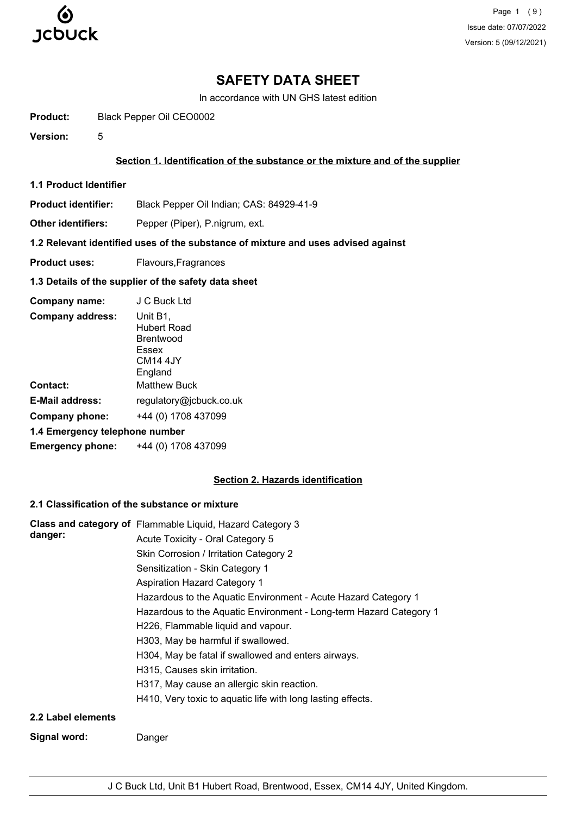

Page 1 (9) Issue date: 07/07/2022 Version: 5 (09/12/2021)

## **SAFETY DATA SHEET**

In accordance with UN GHS latest edition

**Product:** Black Pepper Oil CEO0002

**Version:** 5

### **Section 1. Identification of the substance or the mixture and of the supplier**

**1.1 Product Identifier**

**Product identifier:** Black Pepper Oil Indian; CAS: 84929-41-9

Other identifiers: Pepper (Piper), P.nigrum, ext.

## **1.2 Relevant identified uses of the substance of mixture and uses advised against**

**Product uses:** Flavours, Fragrances

## **1.3 Details of the supplier of the safety data sheet**

| Company name:                  | J C Buck Ltd                                                                            |
|--------------------------------|-----------------------------------------------------------------------------------------|
| <b>Company address:</b>        | Unit B1,<br>Hubert Road<br><b>Brentwood</b><br>Essex<br>CM <sub>14</sub> 4JY<br>England |
| Contact:                       | <b>Matthew Buck</b>                                                                     |
| <b>E-Mail address:</b>         | regulatory@jcbuck.co.uk                                                                 |
| <b>Company phone:</b>          | +44 (0) 1708 437099                                                                     |
| 1.4 Emergency telephone number |                                                                                         |
| <b>Emergency phone:</b>        | +44 (0) 1708 437099                                                                     |

### **Section 2. Hazards identification**

## **2.1 Classification of the substance or mixture**

| danger:            | Class and category of Flammable Liquid, Hazard Category 3          |
|--------------------|--------------------------------------------------------------------|
|                    | Acute Toxicity - Oral Category 5                                   |
|                    | Skin Corrosion / Irritation Category 2                             |
|                    | Sensitization - Skin Category 1                                    |
|                    | <b>Aspiration Hazard Category 1</b>                                |
|                    | Hazardous to the Aquatic Environment - Acute Hazard Category 1     |
|                    | Hazardous to the Aquatic Environment - Long-term Hazard Category 1 |
|                    | H226, Flammable liquid and vapour.                                 |
|                    | H303, May be harmful if swallowed.                                 |
|                    | H304, May be fatal if swallowed and enters airways.                |
|                    | H315, Causes skin irritation.                                      |
|                    | H317, May cause an allergic skin reaction.                         |
|                    | H410, Very toxic to aquatic life with long lasting effects.        |
| 2.2 Label elements |                                                                    |
| Signal word:       | Danger                                                             |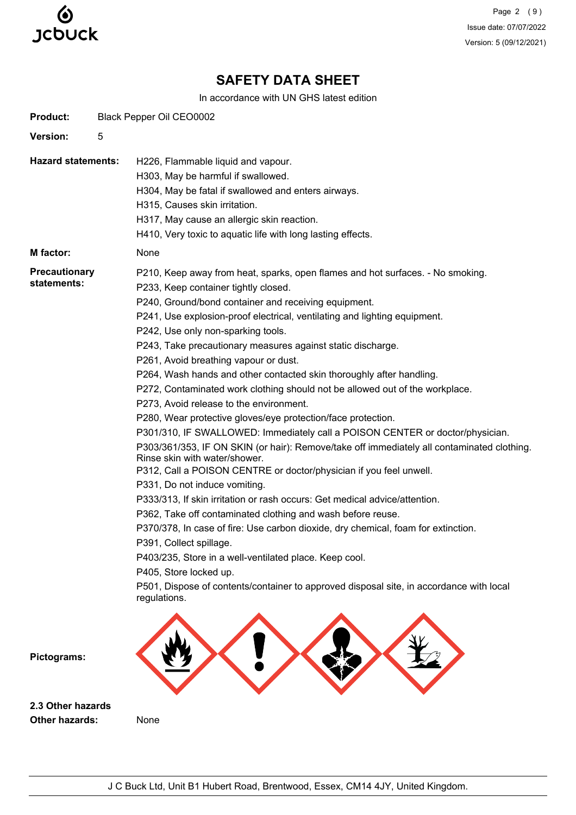

Page 2 (9) Issue date: 07/07/2022 Version: 5 (09/12/2021)

# **SAFETY DATA SHEET**

In accordance with UN GHS latest edition

| <b>Product:</b>                     | Black Pepper Oil CEO0002                                                                                                                                                                                                                                                                                                                                                                                                                                                                                                                                                                                                                                                                                                                                                                                                                                                                                                                                                                                                                                                                                                                                                                                                                                                                                                                                                                                                                                        |
|-------------------------------------|-----------------------------------------------------------------------------------------------------------------------------------------------------------------------------------------------------------------------------------------------------------------------------------------------------------------------------------------------------------------------------------------------------------------------------------------------------------------------------------------------------------------------------------------------------------------------------------------------------------------------------------------------------------------------------------------------------------------------------------------------------------------------------------------------------------------------------------------------------------------------------------------------------------------------------------------------------------------------------------------------------------------------------------------------------------------------------------------------------------------------------------------------------------------------------------------------------------------------------------------------------------------------------------------------------------------------------------------------------------------------------------------------------------------------------------------------------------------|
| Version:                            | 5                                                                                                                                                                                                                                                                                                                                                                                                                                                                                                                                                                                                                                                                                                                                                                                                                                                                                                                                                                                                                                                                                                                                                                                                                                                                                                                                                                                                                                                               |
| <b>Hazard statements:</b>           | H226, Flammable liquid and vapour.<br>H303, May be harmful if swallowed.<br>H304, May be fatal if swallowed and enters airways.<br>H315, Causes skin irritation.<br>H317, May cause an allergic skin reaction.<br>H410, Very toxic to aquatic life with long lasting effects.                                                                                                                                                                                                                                                                                                                                                                                                                                                                                                                                                                                                                                                                                                                                                                                                                                                                                                                                                                                                                                                                                                                                                                                   |
| M factor:                           | None                                                                                                                                                                                                                                                                                                                                                                                                                                                                                                                                                                                                                                                                                                                                                                                                                                                                                                                                                                                                                                                                                                                                                                                                                                                                                                                                                                                                                                                            |
| <b>Precautionary</b><br>statements: | P210, Keep away from heat, sparks, open flames and hot surfaces. - No smoking.<br>P233, Keep container tightly closed.<br>P240, Ground/bond container and receiving equipment.<br>P241, Use explosion-proof electrical, ventilating and lighting equipment.<br>P242, Use only non-sparking tools.<br>P243, Take precautionary measures against static discharge.<br>P261, Avoid breathing vapour or dust.<br>P264, Wash hands and other contacted skin thoroughly after handling.<br>P272, Contaminated work clothing should not be allowed out of the workplace.<br>P273, Avoid release to the environment.<br>P280, Wear protective gloves/eye protection/face protection.<br>P301/310, IF SWALLOWED: Immediately call a POISON CENTER or doctor/physician.<br>P303/361/353, IF ON SKIN (or hair): Remove/take off immediately all contaminated clothing.<br>Rinse skin with water/shower.<br>P312, Call a POISON CENTRE or doctor/physician if you feel unwell.<br>P331, Do not induce vomiting.<br>P333/313, If skin irritation or rash occurs: Get medical advice/attention.<br>P362, Take off contaminated clothing and wash before reuse.<br>P370/378, In case of fire: Use carbon dioxide, dry chemical, foam for extinction.<br>P391, Collect spillage.<br>P403/235, Store in a well-ventilated place. Keep cool.<br>P405, Store locked up.<br>P501, Dispose of contents/container to approved disposal site, in accordance with local<br>regulations. |
| Pictograms:<br>2.3 Other hazards    |                                                                                                                                                                                                                                                                                                                                                                                                                                                                                                                                                                                                                                                                                                                                                                                                                                                                                                                                                                                                                                                                                                                                                                                                                                                                                                                                                                                                                                                                 |
|                                     |                                                                                                                                                                                                                                                                                                                                                                                                                                                                                                                                                                                                                                                                                                                                                                                                                                                                                                                                                                                                                                                                                                                                                                                                                                                                                                                                                                                                                                                                 |

**Other hazards:** None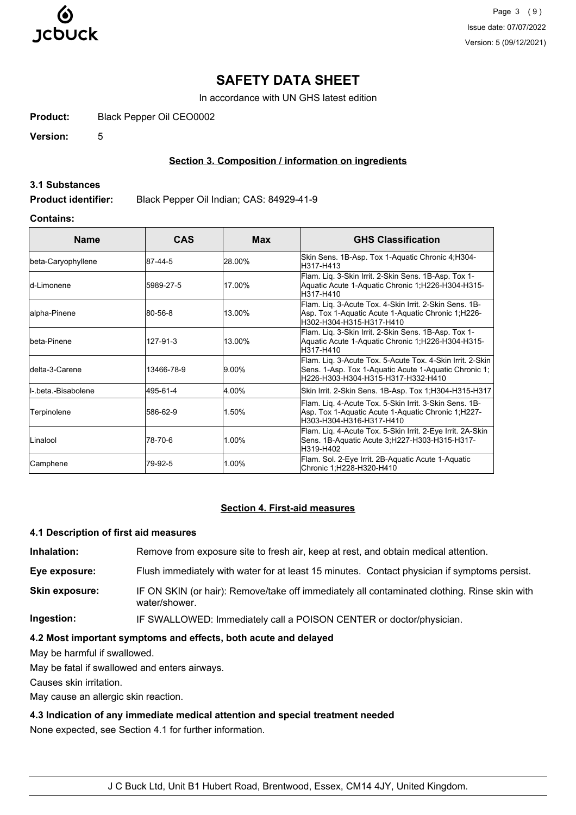

Page 3 (9) Issue date: 07/07/2022 Version: 5 (09/12/2021)

## **SAFETY DATA SHEET**

In accordance with UN GHS latest edition

**Product:** Black Pepper Oil CEO0002

**Version:** 5

### **Section 3. Composition / information on ingredients**

#### **3.1 Substances**

**Product identifier:** Black Pepper Oil Indian; CAS: 84929-41-9

## **Contains:**

| <b>Name</b>          | <b>CAS</b> | <b>Max</b> | <b>GHS Classification</b>                                                                                                                                |
|----------------------|------------|------------|----------------------------------------------------------------------------------------------------------------------------------------------------------|
| beta-Caryophyllene   | 87-44-5    | 28.00%     | Skin Sens. 1B-Asp. Tox 1-Aquatic Chronic 4; H304-<br>H317-H413                                                                                           |
| ld-Limonene          | 5989-27-5  | 17.00%     | Flam. Lig. 3-Skin Irrit. 2-Skin Sens. 1B-Asp. Tox 1-<br>Aquatic Acute 1-Aquatic Chronic 1;H226-H304-H315-<br>H317-H410                                   |
| alpha-Pinene         | 80-56-8    | 13.00%     | Flam. Lig. 3-Acute Tox. 4-Skin Irrit. 2-Skin Sens. 1B-<br>Asp. Tox 1-Aquatic Acute 1-Aquatic Chronic 1;H226-<br>H302-H304-H315-H317-H410                 |
| lbeta-Pinene         | 127-91-3   | 13.00%     | Flam. Lig. 3-Skin Irrit. 2-Skin Sens. 1B-Asp. Tox 1-<br>Aquatic Acute 1-Aquatic Chronic 1;H226-H304-H315-<br>H317-H410                                   |
| ldelta-3-Carene      | 13466-78-9 | $9.00\%$   | Flam. Lig. 3-Acute Tox. 5-Acute Tox. 4-Skin Irrit. 2-Skin<br>Sens. 1-Asp. Tox 1-Aquatic Acute 1-Aquatic Chronic 1;<br>H226-H303-H304-H315-H317-H332-H410 |
| II- beta -Bisabolene | 495-61-4   | 4.00%      | Skin Irrit. 2-Skin Sens. 1B-Asp. Tox 1; H304-H315-H317                                                                                                   |
| Terpinolene          | 586-62-9   | 1.50%      | Flam. Lig. 4-Acute Tox. 5-Skin Irrit. 3-Skin Sens. 1B-<br>Asp. Tox 1-Aquatic Acute 1-Aquatic Chronic 1;H227-<br>H303-H304-H316-H317-H410                 |
| Linalool             | 78-70-6    | 1.00%      | Flam. Lig. 4-Acute Tox. 5-Skin Irrit. 2-Eye Irrit. 2A-Skin<br>Sens. 1B-Aquatic Acute 3;H227-H303-H315-H317-<br>H319-H402                                 |
| Camphene             | 79-92-5    | 1.00%      | Flam. Sol. 2-Eye Irrit. 2B-Aquatic Acute 1-Aquatic<br>Chronic 1;H228-H320-H410                                                                           |

#### **Section 4. First-aid measures**

#### **4.1 Description of first aid measures**

**Inhalation:** Remove from exposure site to fresh air, keep at rest, and obtain medical attention.

**Eye exposure:** Flush immediately with water for at least 15 minutes. Contact physician if symptoms persist.

**Skin exposure:** IF ON SKIN (or hair): Remove/take off immediately all contaminated clothing. Rinse skin with water/shower.

**Ingestion:** IF SWALLOWED: Immediately call a POISON CENTER or doctor/physician.

#### **4.2 Most important symptoms and effects, both acute and delayed**

May be harmful if swallowed.

May be fatal if swallowed and enters airways.

Causes skin irritation.

May cause an allergic skin reaction.

## **4.3 Indication of any immediate medical attention and special treatment needed**

None expected, see Section 4.1 for further information.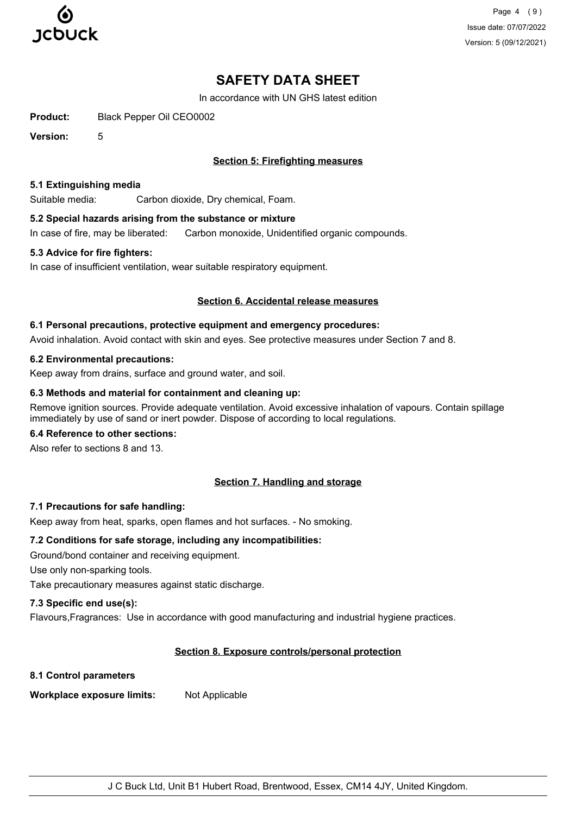

Page 4 (9) Issue date: 07/07/2022 Version: 5 (09/12/2021)

# **SAFETY DATA SHEET**

In accordance with UN GHS latest edition

**Product:** Black Pepper Oil CEO0002

**Version:** 5

## **Section 5: Firefighting measures**

#### **5.1 Extinguishing media**

Suitable media: Carbon dioxide, Dry chemical, Foam.

## **5.2 Special hazards arising from the substance or mixture**

In case of fire, may be liberated: Carbon monoxide, Unidentified organic compounds.

### **5.3 Advice for fire fighters:**

In case of insufficient ventilation, wear suitable respiratory equipment.

### **Section 6. Accidental release measures**

### **6.1 Personal precautions, protective equipment and emergency procedures:**

Avoid inhalation. Avoid contact with skin and eyes. See protective measures under Section 7 and 8.

### **6.2 Environmental precautions:**

Keep away from drains, surface and ground water, and soil.

#### **6.3 Methods and material for containment and cleaning up:**

Remove ignition sources. Provide adequate ventilation. Avoid excessive inhalation of vapours. Contain spillage immediately by use of sand or inert powder. Dispose of according to local regulations.

## **6.4 Reference to other sections:**

Also refer to sections 8 and 13.

## **Section 7. Handling and storage**

## **7.1 Precautions for safe handling:**

Keep away from heat, sparks, open flames and hot surfaces. - No smoking.

#### **7.2 Conditions for safe storage, including any incompatibilities:**

Ground/bond container and receiving equipment.

Use only non-sparking tools.

Take precautionary measures against static discharge.

## **7.3 Specific end use(s):**

Flavours,Fragrances: Use in accordance with good manufacturing and industrial hygiene practices.

## **Section 8. Exposure controls/personal protection**

#### **8.1 Control parameters**

**Workplace exposure limits:** Not Applicable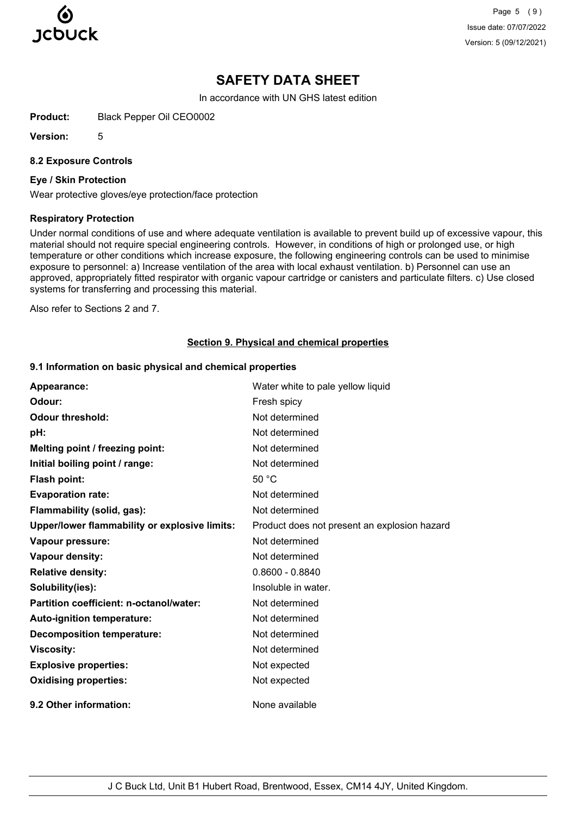

Page 5 (9) Issue date: 07/07/2022 Version: 5 (09/12/2021)

## **SAFETY DATA SHEET**

In accordance with UN GHS latest edition

**Product:** Black Pepper Oil CEO0002

**Version:** 5

#### **8.2 Exposure Controls**

#### **Eye / Skin Protection**

Wear protective gloves/eye protection/face protection

#### **Respiratory Protection**

Under normal conditions of use and where adequate ventilation is available to prevent build up of excessive vapour, this material should not require special engineering controls. However, in conditions of high or prolonged use, or high temperature or other conditions which increase exposure, the following engineering controls can be used to minimise exposure to personnel: a) Increase ventilation of the area with local exhaust ventilation. b) Personnel can use an approved, appropriately fitted respirator with organic vapour cartridge or canisters and particulate filters. c) Use closed systems for transferring and processing this material.

Also refer to Sections 2 and 7.

#### **Section 9. Physical and chemical properties**

#### **9.1 Information on basic physical and chemical properties**

| Appearance:                                   | Water white to pale yellow liquid            |
|-----------------------------------------------|----------------------------------------------|
| Odour:                                        | Fresh spicy                                  |
| <b>Odour threshold:</b>                       | Not determined                               |
| pH:                                           | Not determined                               |
| Melting point / freezing point:               | Not determined                               |
| Initial boiling point / range:                | Not determined                               |
| Flash point:                                  | 50 °C                                        |
| <b>Evaporation rate:</b>                      | Not determined                               |
| Flammability (solid, gas):                    | Not determined                               |
| Upper/lower flammability or explosive limits: | Product does not present an explosion hazard |
| Vapour pressure:                              | Not determined                               |
| Vapour density:                               | Not determined                               |
| <b>Relative density:</b>                      | $0.8600 - 0.8840$                            |
| Solubility(ies):                              | Insoluble in water.                          |
| Partition coefficient: n-octanol/water:       | Not determined                               |
| Auto-ignition temperature:                    | Not determined                               |
| <b>Decomposition temperature:</b>             | Not determined                               |
| <b>Viscosity:</b>                             | Not determined                               |
| <b>Explosive properties:</b>                  | Not expected                                 |
| <b>Oxidising properties:</b>                  | Not expected                                 |
| 9.2 Other information:                        | None available                               |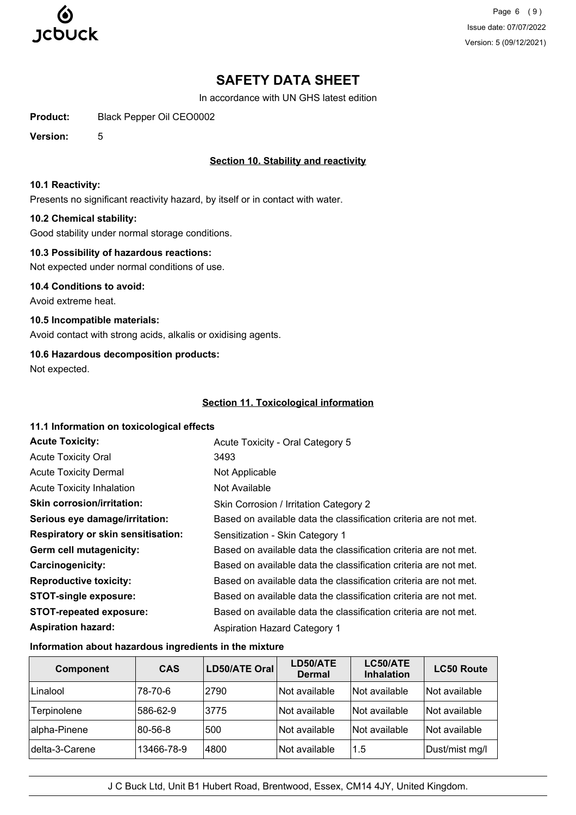

Page 6 (9) Issue date: 07/07/2022 Version: 5 (09/12/2021)

# **SAFETY DATA SHEET**

In accordance with UN GHS latest edition

**Product:** Black Pepper Oil CEO0002

**Version:** 5

## **Section 10. Stability and reactivity**

#### **10.1 Reactivity:**

Presents no significant reactivity hazard, by itself or in contact with water.

### **10.2 Chemical stability:**

Good stability under normal storage conditions.

### **10.3 Possibility of hazardous reactions:**

Not expected under normal conditions of use.

**10.4 Conditions to avoid:** Avoid extreme heat.

**10.5 Incompatible materials:**

Avoid contact with strong acids, alkalis or oxidising agents.

## **10.6 Hazardous decomposition products:**

Not expected.

## **Section 11. Toxicological information**

#### **11.1 Information on toxicological effects**

| <b>Acute Toxicity:</b>                    | Acute Toxicity - Oral Category 5                                 |
|-------------------------------------------|------------------------------------------------------------------|
| <b>Acute Toxicity Oral</b>                | 3493                                                             |
| <b>Acute Toxicity Dermal</b>              | Not Applicable                                                   |
| <b>Acute Toxicity Inhalation</b>          | Not Available                                                    |
| <b>Skin corrosion/irritation:</b>         | Skin Corrosion / Irritation Category 2                           |
| Serious eye damage/irritation:            | Based on available data the classification criteria are not met. |
| <b>Respiratory or skin sensitisation:</b> | Sensitization - Skin Category 1                                  |
| Germ cell mutagenicity:                   | Based on available data the classification criteria are not met. |
| <b>Carcinogenicity:</b>                   | Based on available data the classification criteria are not met. |
| <b>Reproductive toxicity:</b>             | Based on available data the classification criteria are not met. |
| <b>STOT-single exposure:</b>              | Based on available data the classification criteria are not met. |
| <b>STOT-repeated exposure:</b>            | Based on available data the classification criteria are not met. |
| <b>Aspiration hazard:</b>                 | <b>Aspiration Hazard Category 1</b>                              |

#### **Information about hazardous ingredients in the mixture**

| <b>Component</b> | <b>CAS</b> | LD50/ATE Oral | LD50/ATE<br><b>Dermal</b> | LC50/ATE<br><b>Inhalation</b> | <b>LC50 Route</b> |
|------------------|------------|---------------|---------------------------|-------------------------------|-------------------|
| Linalool         | 78-70-6    | 2790          | Not available             | <b>Not available</b>          | Not available     |
| Terpinolene      | 586-62-9   | 3775          | Not available             | Not available                 | Not available     |
| alpha-Pinene     | 80-56-8    | 500           | Not available             | Not available                 | Not available     |
| delta-3-Carene   | 13466-78-9 | 4800          | Not available             | 1.5                           | Dust/mist mg/l    |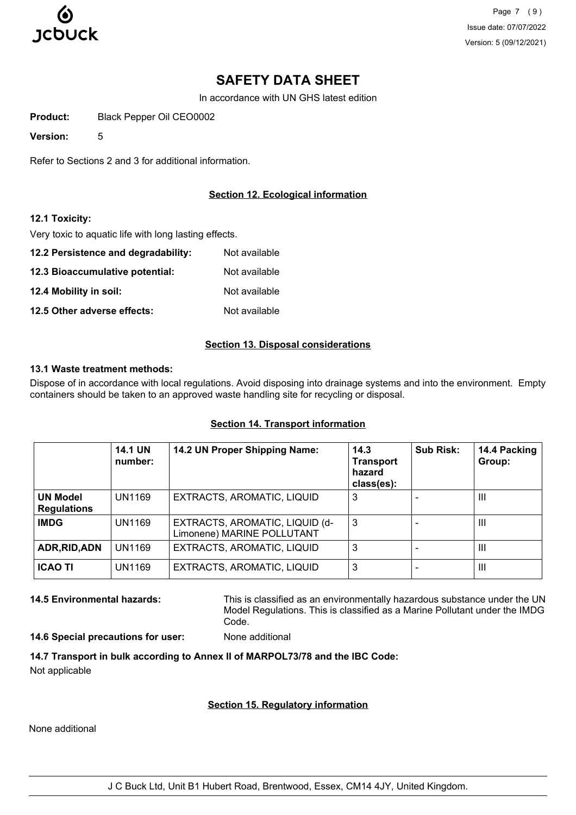

Page 7 (9) Issue date: 07/07/2022 Version: 5 (09/12/2021)

# **SAFETY DATA SHEET**

In accordance with UN GHS latest edition

**Product:** Black Pepper Oil CEO0002

**Version:** 5

Refer to Sections 2 and 3 for additional information.

## **Section 12. Ecological information**

### **12.1 Toxicity:**

Very toxic to aquatic life with long lasting effects.

**12.2 Persistence and degradability:** Not available **12.3 Bioaccumulative potential:** Not available **12.4 Mobility in soil:** Not available **12.5 Other adverse effects:** Not available

## **Section 13. Disposal considerations**

#### **13.1 Waste treatment methods:**

Dispose of in accordance with local regulations. Avoid disposing into drainage systems and into the environment. Empty containers should be taken to an approved waste handling site for recycling or disposal.

|                                       | <b>14.1 UN</b><br>number: | 14.2 UN Proper Shipping Name:                                | 14.3<br><b>Transport</b><br>hazard<br>class(es): | <b>Sub Risk:</b> | 14.4 Packing<br>Group: |
|---------------------------------------|---------------------------|--------------------------------------------------------------|--------------------------------------------------|------------------|------------------------|
| <b>UN Model</b><br><b>Regulations</b> | <b>UN1169</b>             | EXTRACTS, AROMATIC, LIQUID                                   | 3                                                |                  | Ш                      |
| <b>IMDG</b>                           | <b>UN1169</b>             | EXTRACTS, AROMATIC, LIQUID (d-<br>Limonene) MARINE POLLUTANT | 3                                                |                  | Ш                      |
| ADR, RID, ADN                         | <b>UN1169</b>             | EXTRACTS, AROMATIC, LIQUID                                   | 3                                                |                  | Ш                      |
| <b>ICAO TI</b>                        | <b>UN1169</b>             | EXTRACTS, AROMATIC, LIQUID                                   | 3                                                |                  | $\mathbf{III}$         |

## **Section 14. Transport information**

**14.5 Environmental hazards:** This is classified as an environmentally hazardous substance under the UN Model Regulations. This is classified as a Marine Pollutant under the IMDG Code.

**14.6 Special precautions for user:** None additional

**14.7 Transport in bulk according to Annex II of MARPOL73/78 and the IBC Code:** Not applicable

## **Section 15. Regulatory information**

None additional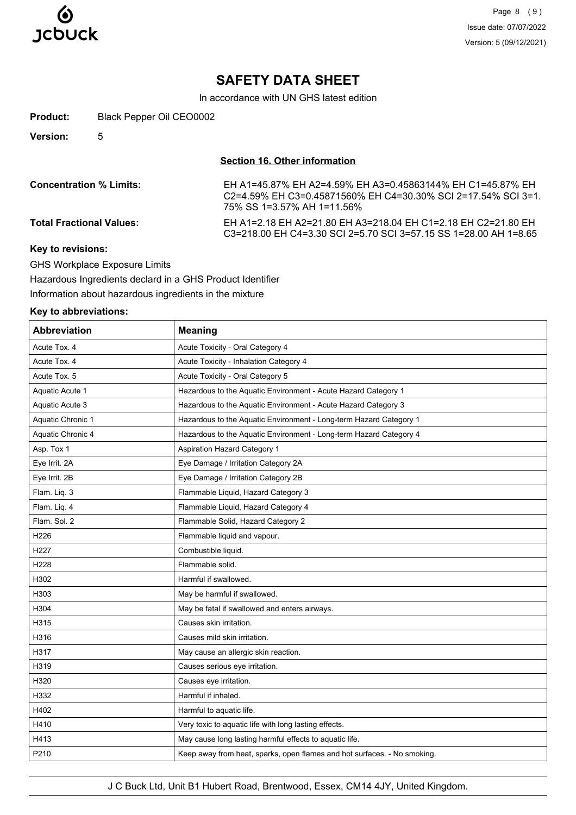

Page 8 (9) Issue date: 07/07/2022 Version: 5 (09/12/2021)

## **SAFETY DATA SHEET**

In accordance with UN GHS latest edition

| Product:        | Black Pepper Oil CEO0002 |
|-----------------|--------------------------|
| <b>Version:</b> |                          |

**Section 16. Other information**

| <b>Concentration % Limits:</b>  | EH A1=45.87% EH A2=4.59% EH A3=0.45863144% EH C1=45.87% EH<br>C2=4.59% EH C3=0.45871560% EH C4=30.30% SCI 2=17.54% SCI 3=1.<br>75% SS 1=3.57% AH 1=11.56% |
|---------------------------------|-----------------------------------------------------------------------------------------------------------------------------------------------------------|
| <b>Total Fractional Values:</b> | EH A1=2.18 EH A2=21.80 EH A3=218.04 EH C1=2.18 EH C2=21.80 EH<br>C3=218.00 EH C4=3.30 SCI 2=5.70 SCI 3=57.15 SS 1=28.00 AH 1=8.65                         |
| Key to revisions:               |                                                                                                                                                           |

GHS Workplace Exposure Limits

Hazardous Ingredients declard in a GHS Product Identifier Information about hazardous ingredients in the mixture

## **Key to abbreviations:**

| <b>Abbreviation</b> | <b>Meaning</b>                                                           |
|---------------------|--------------------------------------------------------------------------|
| Acute Tox. 4        | Acute Toxicity - Oral Category 4                                         |
| Acute Tox. 4        | Acute Toxicity - Inhalation Category 4                                   |
| Acute Tox. 5        | Acute Toxicity - Oral Category 5                                         |
| Aquatic Acute 1     | Hazardous to the Aquatic Environment - Acute Hazard Category 1           |
| Aquatic Acute 3     | Hazardous to the Aquatic Environment - Acute Hazard Category 3           |
| Aquatic Chronic 1   | Hazardous to the Aquatic Environment - Long-term Hazard Category 1       |
| Aquatic Chronic 4   | Hazardous to the Aquatic Environment - Long-term Hazard Category 4       |
| Asp. Tox 1          | <b>Aspiration Hazard Category 1</b>                                      |
| Eye Irrit. 2A       | Eye Damage / Irritation Category 2A                                      |
| Eye Irrit. 2B       | Eye Damage / Irritation Category 2B                                      |
| Flam. Liq. 3        | Flammable Liquid, Hazard Category 3                                      |
| Flam. Liq. 4        | Flammable Liquid, Hazard Category 4                                      |
| Flam. Sol. 2        | Flammable Solid, Hazard Category 2                                       |
| H226                | Flammable liquid and vapour.                                             |
| H <sub>227</sub>    | Combustible liquid.                                                      |
| H228                | Flammable solid.                                                         |
| H302                | Harmful if swallowed.                                                    |
| H303                | May be harmful if swallowed.                                             |
| H304                | May be fatal if swallowed and enters airways.                            |
| H315                | Causes skin irritation.                                                  |
| H316                | Causes mild skin irritation.                                             |
| H317                | May cause an allergic skin reaction.                                     |
| H319                | Causes serious eye irritation.                                           |
| H320                | Causes eye irritation.                                                   |
| H332                | Harmful if inhaled.                                                      |
| H402                | Harmful to aquatic life.                                                 |
| H410                | Very toxic to aquatic life with long lasting effects.                    |
| H413                | May cause long lasting harmful effects to aquatic life.                  |
| P210                | Keep away from heat, sparks, open flames and hot surfaces. - No smoking. |